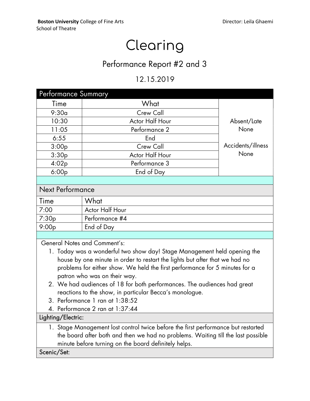# Clearing

## Performance Report #2 and 3

## 12.15.2019

| Performance Summary                                                                                                                                                                                                                                                                                                                                                                                                                                                                                                        |                 |                   |
|----------------------------------------------------------------------------------------------------------------------------------------------------------------------------------------------------------------------------------------------------------------------------------------------------------------------------------------------------------------------------------------------------------------------------------------------------------------------------------------------------------------------------|-----------------|-------------------|
| Time                                                                                                                                                                                                                                                                                                                                                                                                                                                                                                                       | What            |                   |
| 9:30a                                                                                                                                                                                                                                                                                                                                                                                                                                                                                                                      | Crew Call       |                   |
| 10:30                                                                                                                                                                                                                                                                                                                                                                                                                                                                                                                      | Actor Half Hour | Absent/Late       |
| 11:05                                                                                                                                                                                                                                                                                                                                                                                                                                                                                                                      | Performance 2   | None              |
| 6:55                                                                                                                                                                                                                                                                                                                                                                                                                                                                                                                       | End             |                   |
| 3:00p                                                                                                                                                                                                                                                                                                                                                                                                                                                                                                                      | Crew Call       | Accidents/illness |
| 3:30p                                                                                                                                                                                                                                                                                                                                                                                                                                                                                                                      | Actor Half Hour | None              |
| 4:02p                                                                                                                                                                                                                                                                                                                                                                                                                                                                                                                      | Performance 3   |                   |
| 6:00p                                                                                                                                                                                                                                                                                                                                                                                                                                                                                                                      | End of Day      |                   |
|                                                                                                                                                                                                                                                                                                                                                                                                                                                                                                                            |                 |                   |
| <b>Next Performance</b>                                                                                                                                                                                                                                                                                                                                                                                                                                                                                                    |                 |                   |
| Time                                                                                                                                                                                                                                                                                                                                                                                                                                                                                                                       | What            |                   |
| 7:00                                                                                                                                                                                                                                                                                                                                                                                                                                                                                                                       | Actor Half Hour |                   |
| 7:30p                                                                                                                                                                                                                                                                                                                                                                                                                                                                                                                      | Performance #4  |                   |
| 9:00p                                                                                                                                                                                                                                                                                                                                                                                                                                                                                                                      | End of Day      |                   |
|                                                                                                                                                                                                                                                                                                                                                                                                                                                                                                                            |                 |                   |
| <b>General Notes and Comment's:</b><br>1. Today was a wonderful two show day! Stage Management held opening the<br>house by one minute in order to restart the lights but after that we had no<br>problems for either show. We held the first performance for 5 minutes for a<br>patron who was on their way.<br>2. We had audiences of 18 for both performances. The audiences had great<br>reactions to the show, in particular Becca's monologue.<br>3. Performance 1 ran at 1:38:52<br>4. Performance 2 ran at 1:37:44 |                 |                   |
| Lighting/Electric:                                                                                                                                                                                                                                                                                                                                                                                                                                                                                                         |                 |                   |
| 1. Stage Management lost control twice before the first performance but restarted<br>the board after both and then we had no problems. Waiting till the last possible<br>minute before turning on the board definitely helps.<br>Scenic/Set:                                                                                                                                                                                                                                                                               |                 |                   |